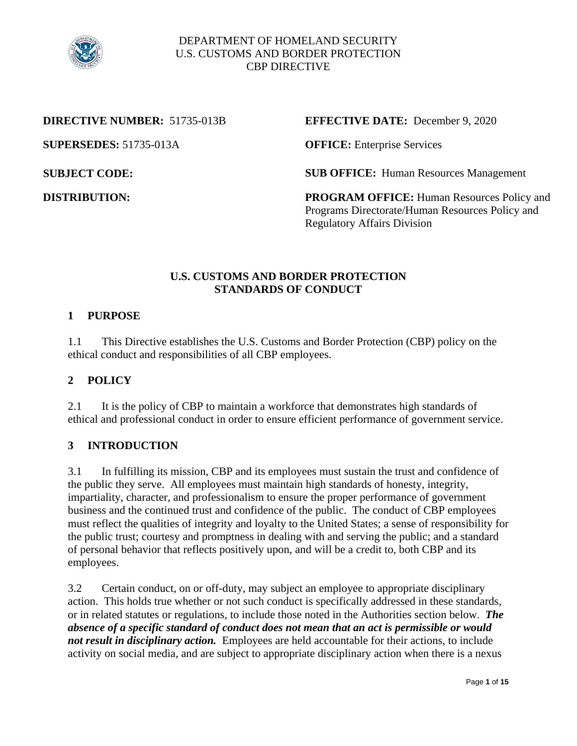

**SUPERSEDES:** 51735-013A **OFFICE:** Enterprise Services

## **DIRECTIVE NUMBER:** 51735-013B **EFFECTIVE DATE:** December 9, 2020

**SUBJECT CODE:** SUB OFFICE: Human Resources Management

**DISTRIBUTION:** PROGRAM OFFICE: Human Resources Policy and Programs Directorate/Human Resources Policy and Regulatory Affairs Division

# **U.S. CUSTOMS AND BORDER PROTECTION STANDARDS OF CONDUCT**

# **1 PURPOSE**

1.1 This Directive establishes the U.S. Customs and Border Protection (CBP) policy on the ethical conduct and responsibilities of all CBP employees.

# **2 POLICY**

2.1 It is the policy of CBP to maintain a workforce that demonstrates high standards of ethical and professional conduct in order to ensure efficient performance of government service.

# **3 INTRODUCTION**

3.1 In fulfilling its mission, CBP and its employees must sustain the trust and confidence of the public they serve. All employees must maintain high standards of honesty, integrity, impartiality, character, and professionalism to ensure the proper performance of government business and the continued trust and confidence of the public. The conduct of CBP employees must reflect the qualities of integrity and loyalty to the United States; a sense of responsibility for the public trust; courtesy and promptness in dealing with and serving the public; and a standard of personal behavior that reflects positively upon, and will be a credit to, both CBP and its employees.

3.2 Certain conduct, on or off-duty, may subject an employee to appropriate disciplinary action. This holds true whether or not such conduct is specifically addressed in these standards, or in related statutes or regulations, to include those noted in the Authorities section below. *The absence of a specific standard of conduct does not mean that an act is permissible or would not result in disciplinary action.* Employees are held accountable for their actions, to include activity on social media, and are subject to appropriate disciplinary action when there is a nexus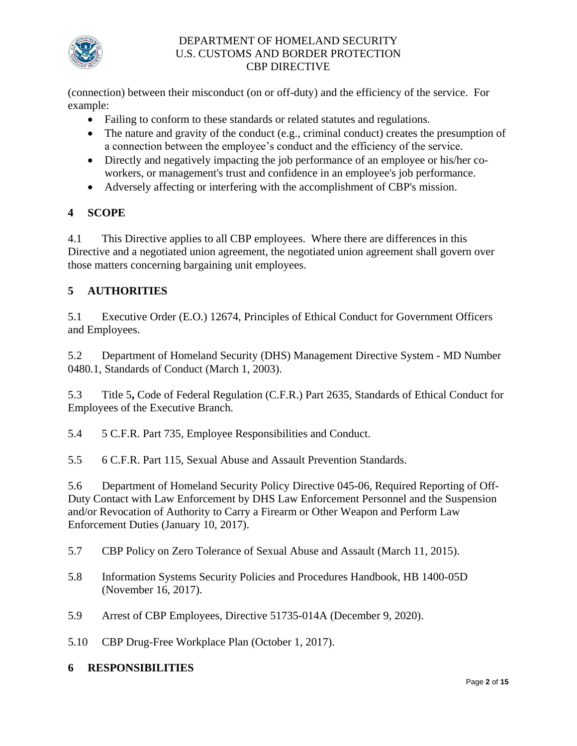

(connection) between their misconduct (on or off-duty) and the efficiency of the service. For example:

- Failing to conform to these standards or related statutes and regulations.
- The nature and gravity of the conduct (e.g., criminal conduct) creates the presumption of a connection between the employee's conduct and the efficiency of the service.
- Directly and negatively impacting the job performance of an employee or his/her coworkers, or management's trust and confidence in an employee's job performance.
- Adversely affecting or interfering with the accomplishment of CBP's mission.

# **4 SCOPE**

4.1 This Directive applies to all CBP employees. Where there are differences in this Directive and a negotiated union agreement, the negotiated union agreement shall govern over those matters concerning bargaining unit employees.

# **5 AUTHORITIES**

5.1 Executive Order (E.O.) 12674, Principles of Ethical Conduct for Government Officers and Employees.

5.2 Department of Homeland Security (DHS) Management Directive System - MD Number 0480.1, Standards of Conduct (March 1, 2003).

5.3 Title 5**,** Code of Federal Regulation (C.F.R.) Part 2635, Standards of Ethical Conduct for Employees of the Executive Branch.

5.4 5 C.F.R. Part 735, Employee Responsibilities and Conduct.

5.5 6 C.F.R. Part 115, Sexual Abuse and Assault Prevention Standards.

5.6 Department of Homeland Security Policy Directive 045-06, Required Reporting of Off-Duty Contact with Law Enforcement by DHS Law Enforcement Personnel and the Suspension and/or Revocation of Authority to Carry a Firearm or Other Weapon and Perform Law Enforcement Duties (January 10, 2017).

- 5.7 CBP Policy on Zero Tolerance of Sexual Abuse and Assault (March 11, 2015).
- 5.8 Information Systems Security Policies and Procedures Handbook, HB 1400-05D (November 16, 2017).
- 5.9 Arrest of CBP Employees, Directive 51735-014A (December 9, 2020).
- 5.10 CBP Drug-Free Workplace Plan (October 1, 2017).

# **6 RESPONSIBILITIES**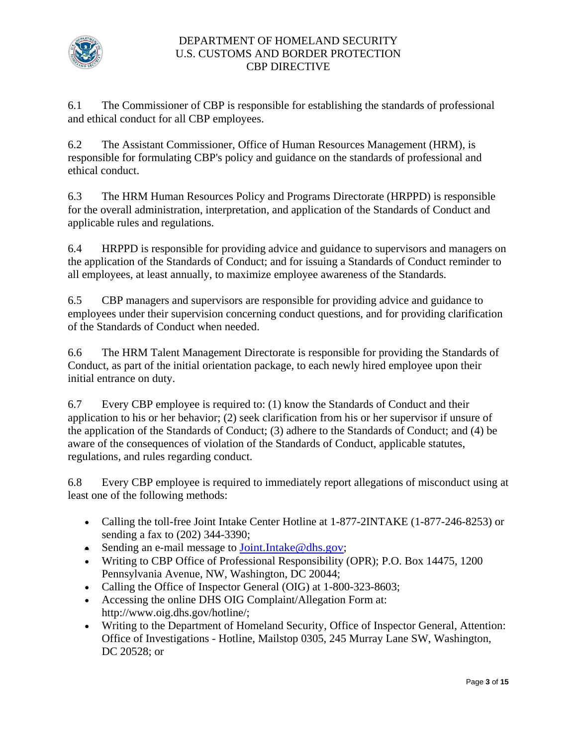

6.1 The Commissioner of CBP is responsible for establishing the standards of professional and ethical conduct for all CBP employees.

6.2 The Assistant Commissioner, Office of Human Resources Management (HRM), is responsible for formulating CBP's policy and guidance on the standards of professional and ethical conduct.

6.3 The HRM Human Resources Policy and Programs Directorate (HRPPD) is responsible for the overall administration, interpretation, and application of the Standards of Conduct and applicable rules and regulations.

6.4 HRPPD is responsible for providing advice and guidance to supervisors and managers on the application of the Standards of Conduct; and for issuing a Standards of Conduct reminder to all employees, at least annually, to maximize employee awareness of the Standards.

6.5 CBP managers and supervisors are responsible for providing advice and guidance to employees under their supervision concerning conduct questions, and for providing clarification of the Standards of Conduct when needed.

6.6 The HRM Talent Management Directorate is responsible for providing the Standards of Conduct, as part of the initial orientation package, to each newly hired employee upon their initial entrance on duty.

6.7 Every CBP employee is required to: (1) know the Standards of Conduct and their application to his or her behavior; (2) seek clarification from his or her supervisor if unsure of the application of the Standards of Conduct; (3) adhere to the Standards of Conduct; and (4) be aware of the consequences of violation of the Standards of Conduct, applicable statutes, regulations, and rules regarding conduct.

6.8 Every CBP employee is required to immediately report allegations of misconduct using at least one of the following methods:

- Calling the toll-free Joint Intake Center Hotline at 1-877-2INTAKE (1-877-246-8253) or sending a fax to (202) 344-3390;
- Sending an e-mail message to [Joint.Intake@dhs.gov;](mailto:Joint.Intake@dhs.gov)
- Writing to CBP Office of Professional Responsibility (OPR); P.O. Box 14475, 1200 Pennsylvania Avenue, NW, Washington, DC 20044;
- Calling the Office of Inspector General (OIG) at 1-800-323-8603;
- Accessing the online DHS OIG Complaint/Allegation Form at: <http://www.oig.dhs.gov/hotline>/;
- Writing to the Department of Homeland Security, Office of Inspector General, Attention: Office of Investigations - Hotline, Mailstop 0305, 245 Murray Lane SW, Washington, DC 20528; or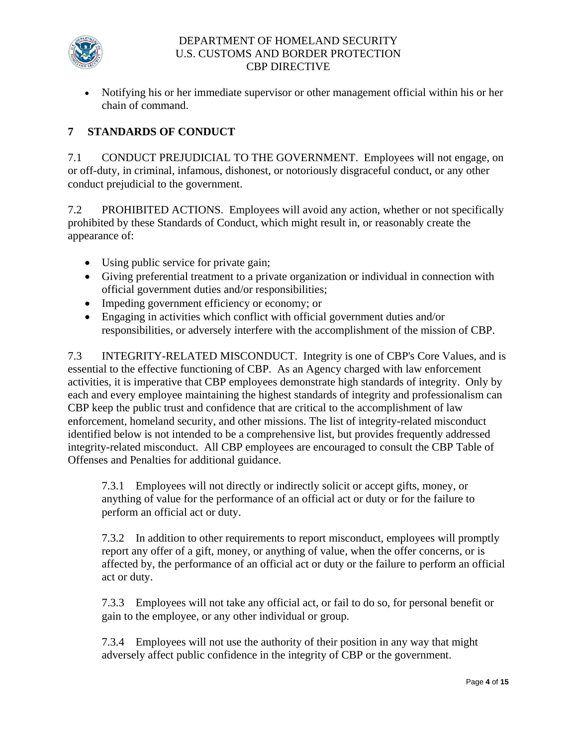

 Notifying his or her immediate supervisor or other management official within his or her chain of command.

#### **7 STANDARDS OF CONDUCT**

7.1 CONDUCT PREJUDICIAL TO THE GOVERNMENT. Employees will not engage, on or off-duty, in criminal, infamous, dishonest, or notoriously disgraceful conduct, or any other conduct prejudicial to the government.

7.2 PROHIBITED ACTIONS. Employees will avoid any action, whether or not specifically prohibited by these Standards of Conduct, which might result in, or reasonably create the appearance of:

- Using public service for private gain;
- Giving preferential treatment to a private organization or individual in connection with official government duties and/or responsibilities;
- Impeding government efficiency or economy; or
- Engaging in activities which conflict with official government duties and/or responsibilities, or adversely interfere with the accomplishment of the mission of CBP.

7.3 INTEGRITY-RELATED MISCONDUCT. Integrity is one of CBP's Core Values, and is essential to the effective functioning of CBP. As an Agency charged with law enforcement activities, it is imperative that CBP employees demonstrate high standards of integrity. Only by each and every employee maintaining the highest standards of integrity and professionalism can CBP keep the public trust and confidence that are critical to the accomplishment of law enforcement, homeland security, and other missions. The list of integrity-related misconduct identified below is not intended to be a comprehensive list, but provides frequently addressed integrity-related misconduct. All CBP employees are encouraged to consult the CBP Table of Offenses and Penalties for additional guidance.

 anything of value for the performance of an official act or duty or for the failure to 7.3.1 Employees will not directly or indirectly solicit or accept gifts, money, or perform an official act or duty.

act or duty. 7.3.2 In addition to other requirements to report misconduct, employees will promptly report any offer of a gift, money, or anything of value, when the offer concerns, or is affected by, the performance of an official act or duty or the failure to perform an official

7.3.3 Employees will not take any official act, or fail to do so, for personal benefit or gain to the employee, or any other individual or group.

7.3.4 Employees will not use the authority of their position in any way that might adversely affect public confidence in the integrity of CBP or the government.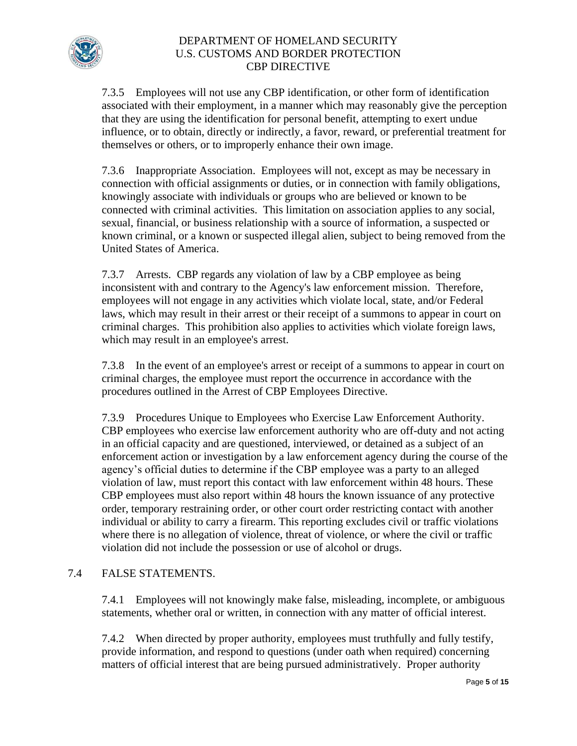

7.3.5 Employees will not use any CBP identification, or other form of identification associated with their employment, in a manner which may reasonably give the perception that they are using the identification for personal benefit, attempting to exert undue influence, or to obtain, directly or indirectly, a favor, reward, or preferential treatment for themselves or others, or to improperly enhance their own image.

7.3.6 Inappropriate Association. Employees will not, except as may be necessary in connection with official assignments or duties, or in connection with family obligations, knowingly associate with individuals or groups who are believed or known to be connected with criminal activities. This limitation on association applies to any social, sexual, financial, or business relationship with a source of information, a suspected or known criminal, or a known or suspected illegal alien, subject to being removed from the United States of America.

 inconsistent with and contrary to the Agency's law enforcement mission. Therefore, 7.3.7 Arrests. CBP regards any violation of law by a CBP employee as being employees will not engage in any activities which violate local, state, and/or Federal laws, which may result in their arrest or their receipt of a summons to appear in court on criminal charges. This prohibition also applies to activities which violate foreign laws, which may result in an employee's arrest.

7.3.8 In the event of an employee's arrest or receipt of a summons to appear in court on criminal charges, the employee must report the occurrence in accordance with the procedures outlined in the Arrest of CBP Employees Directive.

7.3.9 Procedures Unique to Employees who Exercise Law Enforcement Authority. CBP employees who exercise law enforcement authority who are off-duty and not acting in an official capacity and are questioned, interviewed, or detained as a subject of an enforcement action or investigation by a law enforcement agency during the course of the agency's official duties to determine if the CBP employee was a party to an alleged violation of law, must report this contact with law enforcement within 48 hours. These CBP employees must also report within 48 hours the known issuance of any protective order, temporary restraining order, or other court order restricting contact with another individual or ability to carry a firearm. This reporting excludes civil or traffic violations where there is no allegation of violence, threat of violence, or where the civil or traffic violation did not include the possession or use of alcohol or drugs.

#### $7.4$ FALSE STATEMENTS.

7.4.1 Employees will not knowingly make false, misleading, incomplete, or ambiguous statements, whether oral or written, in connection with any matter of official interest.

 matters of official interest that are being pursued administratively. Proper authority 7.4.2 When directed by proper authority, employees must truthfully and fully testify, provide information, and respond to questions (under oath when required) concerning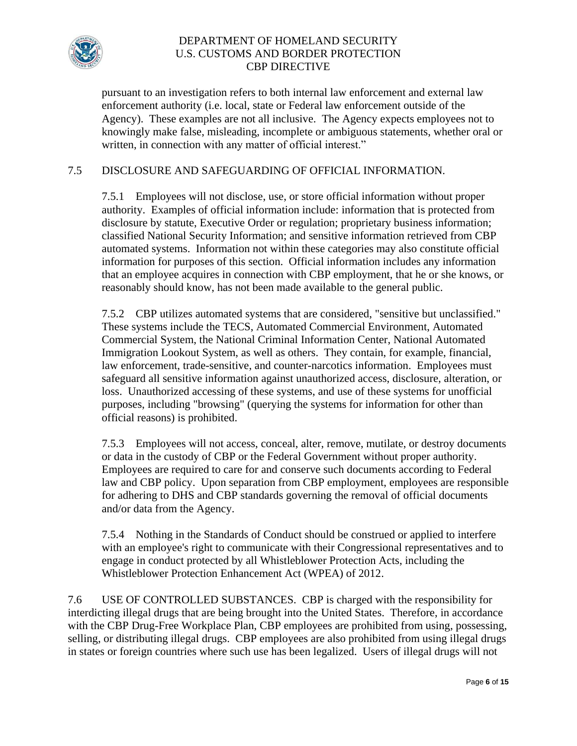

pursuant to an investigation refers to both internal law enforcement and external law enforcement authority (i.e. local, state or Federal law enforcement outside of the Agency). These examples are not all inclusive. The Agency expects employees not to knowingly make false, misleading, incomplete or ambiguous statements, whether oral or written, in connection with any matter of official interest."

# 7.5 DISCLOSURE AND SAFEGUARDING OF OFFICIAL INFORMATION.

 classified National Security Information; and sensitive information retrieved from CBP 7.5.1 Employees will not disclose, use, or store official information without proper authority. Examples of official information include: information that is protected from disclosure by statute, Executive Order or regulation; proprietary business information; automated systems. Information not within these categories may also constitute official information for purposes of this section. Official information includes any information that an employee acquires in connection with CBP employment, that he or she knows, or reasonably should know, has not been made available to the general public.

7.5.2 CBP utilizes automated systems that are considered, "sensitive but unclassified." These systems include the TECS, Automated Commercial Environment, Automated Commercial System, the National Criminal Information Center, National Automated Immigration Lookout System, as well as others. They contain, for example, financial, law enforcement, trade-sensitive, and counter-narcotics information. Employees must safeguard all sensitive information against unauthorized access, disclosure, alteration, or loss. Unauthorized accessing of these systems, and use of these systems for unofficial purposes, including "browsing" (querying the systems for information for other than official reasons) is prohibited.

7.5.3 Employees will not access, conceal, alter, remove, mutilate, or destroy documents or data in the custody of CBP or the Federal Government without proper authority. Employees are required to care for and conserve such documents according to Federal law and CBP policy. Upon separation from CBP employment, employees are responsible for adhering to DHS and CBP standards governing the removal of official documents and/or data from the Agency.

7.5.4 Nothing in the Standards of Conduct should be construed or applied to interfere with an employee's right to communicate with their Congressional representatives and to engage in conduct protected by all Whistleblower Protection Acts, including the Whistleblower Protection Enhancement Act (WPEA) of 2012.

 7.6 USE OF CONTROLLED SUBSTANCES. CBP is charged with the responsibility for interdicting illegal drugs that are being brought into the United States. Therefore, in accordance with the CBP Drug-Free Workplace Plan, CBP employees are prohibited from using, possessing, selling, or distributing illegal drugs. CBP employees are also prohibited from using illegal drugs in states or foreign countries where such use has been legalized. Users of illegal drugs will not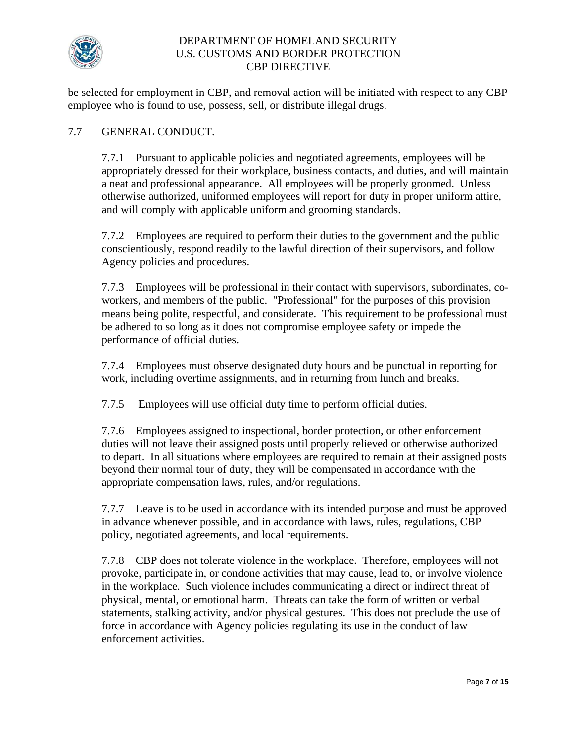

employee who is found to use, possess, sell, or distribute illegal drugs.<br>7.7 GENERAL CONDUCT. be selected for employment in CBP, and removal action will be initiated with respect to any CBP

 a neat and professional appearance. All employees will be properly groomed. Unless 7.7.1 Pursuant to applicable policies and negotiated agreements, employees will be appropriately dressed for their workplace, business contacts, and duties, and will maintain otherwise authorized, uniformed employees will report for duty in proper uniform attire, and will comply with applicable uniform and grooming standards.

7.7.2 Employees are required to perform their duties to the government and the public conscientiously, respond readily to the lawful direction of their supervisors, and follow Agency policies and procedures.

7.7.3 Employees will be professional in their contact with supervisors, subordinates, coworkers, and members of the public. "Professional" for the purposes of this provision means being polite, respectful, and considerate. This requirement to be professional must be adhered to so long as it does not compromise employee safety or impede the performance of official duties.

7.7.4 Employees must observe designated duty hours and be punctual in reporting for work, including overtime assignments, and in returning from lunch and breaks.

7.7.5 Employees will use official duty time to perform official duties.

7.7.6 Employees assigned to inspectional, border protection, or other enforcement duties will not leave their assigned posts until properly relieved or otherwise authorized to depart. In all situations where employees are required to remain at their assigned posts beyond their normal tour of duty, they will be compensated in accordance with the appropriate compensation laws, rules, and/or regulations.

7.7.7 Leave is to be used in accordance with its intended purpose and must be approved in advance whenever possible, and in accordance with laws, rules, regulations, CBP policy, negotiated agreements, and local requirements.

7.7.8 CBP does not tolerate violence in the workplace. Therefore, employees will not provoke, participate in, or condone activities that may cause, lead to, or involve violence in the workplace. Such violence includes communicating a direct or indirect threat of physical, mental, or emotional harm. Threats can take the form of written or verbal statements, stalking activity, and/or physical gestures. This does not preclude the use of force in accordance with Agency policies regulating its use in the conduct of law enforcement activities.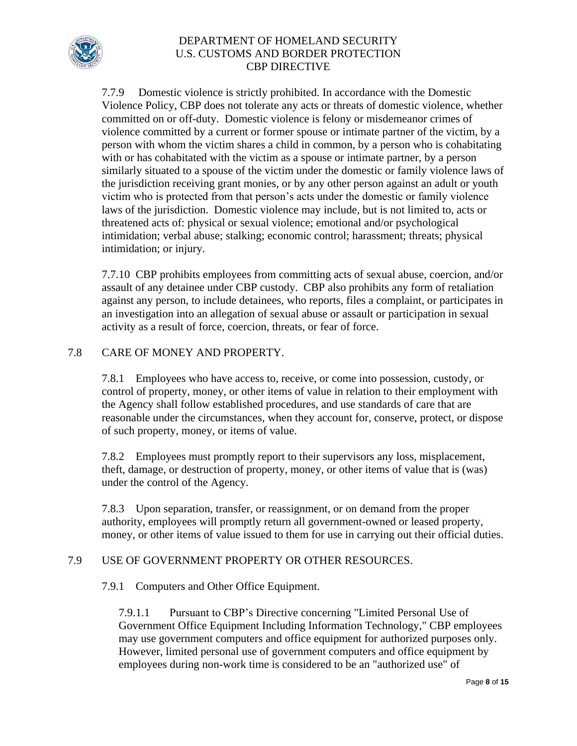

7.7.9 Domestic violence is strictly prohibited. In accordance with the Domestic Violence Policy, CBP does not tolerate any acts or threats of domestic violence, whether committed on or off-duty. Domestic violence is felony or misdemeanor crimes of violence committed by a current or former spouse or intimate partner of the victim, by a person with whom the victim shares a child in common, by a person who is cohabitating with or has cohabitated with the victim as a spouse or intimate partner, by a person similarly situated to a spouse of the victim under the domestic or family violence laws of the jurisdiction receiving grant monies, or by any other person against an adult or youth victim who is protected from that person's acts under the domestic or family violence laws of the jurisdiction. Domestic violence may include, but is not limited to, acts or threatened acts of: physical or sexual violence; emotional and/or psychological intimidation; verbal abuse; stalking; economic control; harassment; threats; physical intimidation; or injury.

7.7.10 CBP prohibits employees from committing acts of sexual abuse, coercion, and/or assault of any detainee under CBP custody. CBP also prohibits any form of retaliation against any person, to include detainees, who reports, files a complaint, or participates in an investigation into an allegation of sexual abuse or assault or participation in sexual activity as a result of force, coercion, threats, or fear of force.

# 7.8 CARE OF MONEY AND PROPERTY.

7.8.1 Employees who have access to, receive, or come into possession, custody, or control of property, money, or other items of value in relation to their employment with the Agency shall follow established procedures, and use standards of care that are reasonable under the circumstances, when they account for, conserve, protect, or dispose of such property, money, or items of value.

 theft, damage, or destruction of property, money, or other items of value that is (was) 7.8.2 Employees must promptly report to their supervisors any loss, misplacement, under the control of the Agency.

7.8.3 Upon separation, transfer, or reassignment, or on demand from the proper authority, employees will promptly return all government-owned or leased property, money, or other items of value issued to them for use in carrying out their official duties.

# 7.9 USE OF GOVERNMENT PROPERTY OR OTHER RESOURCES.

7.9.1 Computers and Other Office Equipment.

7.9.1.1 Pursuant to CBP's Directive concerning "Limited Personal Use of Government Office Equipment Including Information Technology," CBP employees may use government computers and office equipment for authorized purposes only. However, limited personal use of government computers and office equipment by employees during non-work time is considered to be an "authorized use" of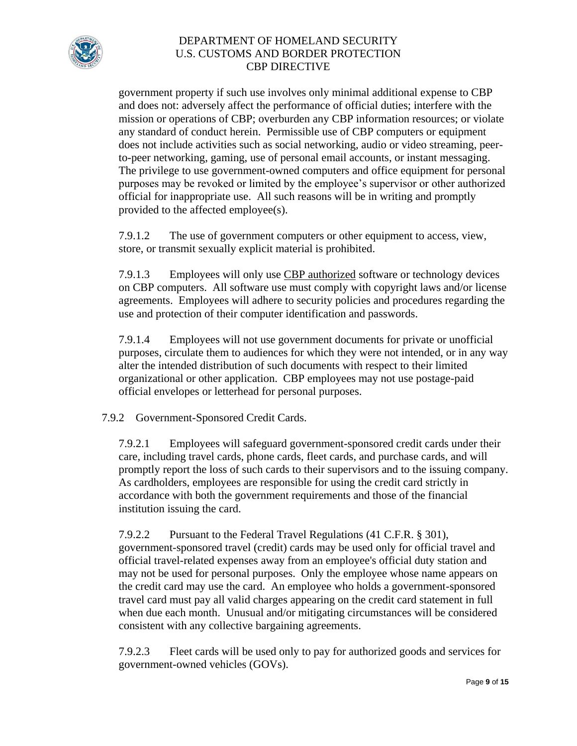

government property if such use involves only minimal additional expense to CBP and does not: adversely affect the performance of official duties; interfere with the mission or operations of CBP; overburden any CBP information resources; or violate any standard of conduct herein. Permissible use of CBP computers or equipment does not include activities such as social networking, audio or video streaming, peerto-peer networking, gaming, use of personal email accounts, or instant messaging. The privilege to use government-owned computers and office equipment for personal purposes may be revoked or limited by the employee's supervisor or other authorized official for inappropriate use. All such reasons will be in writing and promptly provided to the affected employee(s).

7.9.1.2 The use of government computers or other equipment to access, view, store, or transmit sexually explicit material is prohibited.

7.9.1.3 Employees will only use CBP authorized software or technology devices on CBP computers. All software use must comply with copyright laws and/or license agreements. Employees will adhere to security policies and procedures regarding the use and protection of their computer identification and passwords.

7.9.1.4 Employees will not use government documents for private or unofficial purposes, circulate them to audiences for which they were not intended, or in any way alter the intended distribution of such documents with respect to their limited organizational or other application. CBP employees may not use postage-paid official envelopes or letterhead for personal purposes.

7.9.2 Government-Sponsored Credit Cards.

7.9.2.1 Employees will safeguard government-sponsored credit cards under their care, including travel cards, phone cards, fleet cards, and purchase cards, and will promptly report the loss of such cards to their supervisors and to the issuing company. As cardholders, employees are responsible for using the credit card strictly in accordance with both the government requirements and those of the financial institution issuing the card.

 when due each month. Unusual and/or mitigating circumstances will be considered 7.9.2.2 Pursuant to the Federal Travel Regulations (41 C.F.R. § 301), government-sponsored travel (credit) cards may be used only for official travel and official travel-related expenses away from an employee's official duty station and may not be used for personal purposes. Only the employee whose name appears on the credit card may use the card. An employee who holds a government-sponsored travel card must pay all valid charges appearing on the credit card statement in full consistent with any collective bargaining agreements.

7.9.2.3 Fleet cards will be used only to pay for authorized goods and services for government-owned vehicles (GOVs).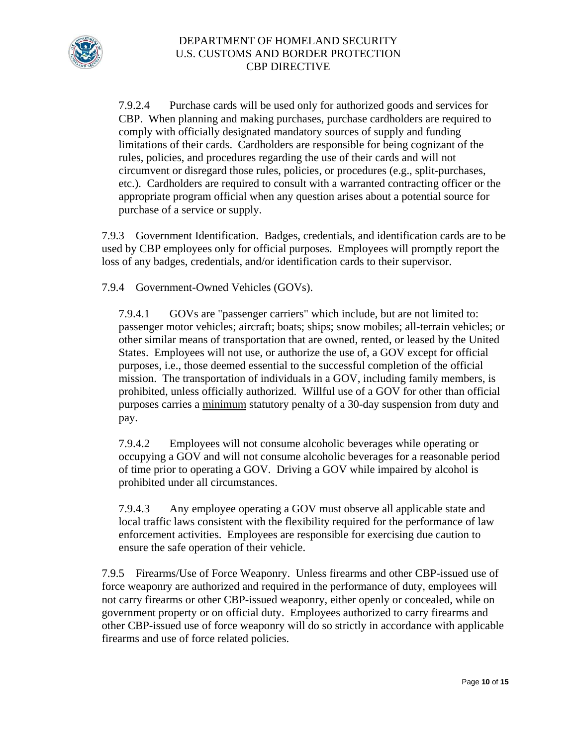

7.9.2.4 Purchase cards will be used only for authorized goods and services for CBP. When planning and making purchases, purchase cardholders are required to comply with officially designated mandatory sources of supply and funding limitations of their cards. Cardholders are responsible for being cognizant of the rules, policies, and procedures regarding the use of their cards and will not circumvent or disregard those rules, policies, or procedures (e.g., split-purchases, etc.). Cardholders are required to consult with a warranted contracting officer or the appropriate program official when any question arises about a potential source for purchase of a service or supply.

7.9.3 Government Identification. Badges, credentials, and identification cards are to be used by CBP employees only for official purposes. Employees will promptly report the loss of any badges, credentials, and/or identification cards to their supervisor.

7.9.4 Government-Owned Vehicles (GOVs).

GOVs are "passenger carriers" which include, but are not limited to: 7.9.4.1 GOVs are "passenger carriers" which include, but are not limited to: passenger motor vehicles; aircraft; boats; ships; snow mobiles; all-terrain vehicles; or other similar means of transportation that are owned, rented, or leased by the United States. Employees will not use, or authorize the use of, a GOV except for official purposes, i.e., those deemed essential to the successful completion of the official mission. The transportation of individuals in a GOV, including family members, is prohibited, unless officially authorized. Willful use of a GOV for other than official purposes carries a minimum statutory penalty of a 30-day suspension from duty and pay.

7.9.4.2 Employees will not consume alcoholic beverages while operating or occupying a GOV and will not consume alcoholic beverages for a reasonable period of time prior to operating a GOV. Driving a GOV while impaired by alcohol is prohibited under all circumstances.

7.9.4.3 Any employee operating a GOV must observe all applicable state and local traffic laws consistent with the flexibility required for the performance of law enforcement activities. Employees are responsible for exercising due caution to ensure the safe operation of their vehicle.

 7.9.5 Firearms/Use of Force Weaponry. Unless firearms and other CBP-issued use of government property or on official duty. Employees authorized to carry firearms and force weaponry are authorized and required in the performance of duty, employees will not carry firearms or other CBP-issued weaponry, either openly or concealed, while on other CBP-issued use of force weaponry will do so strictly in accordance with applicable firearms and use of force related policies.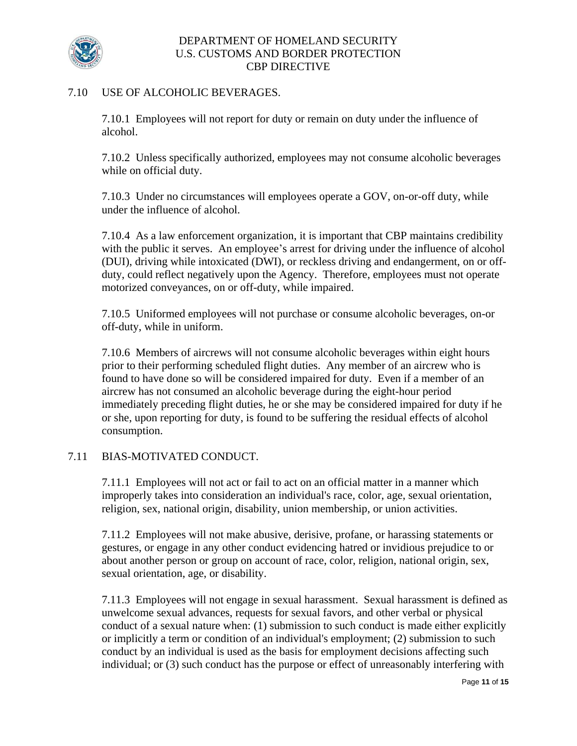

#### 7.10 USE OF ALCOHOLIC BEVERAGES.

7.10.1 Employees will not report for duty or remain on duty under the influence of alcohol.

7.10.2 Unless specifically authorized, employees may not consume alcoholic beverages while on official duty.

7.10.3 Under no circumstances will employees operate a GOV, on-or-off duty, while under the influence of alcohol.

7.10.4 As a law enforcement organization, it is important that CBP maintains credibility with the public it serves. An employee's arrest for driving under the influence of alcohol (DUI), driving while intoxicated (DWI), or reckless driving and endangerment, on or offduty, could reflect negatively upon the Agency. Therefore, employees must not operate motorized conveyances, on or off-duty, while impaired.

7.10.5 Uniformed employees will not purchase or consume alcoholic beverages, on-or off-duty, while in uniform.

7.10.6 Members of aircrews will not consume alcoholic beverages within eight hours prior to their performing scheduled flight duties. Any member of an aircrew who is found to have done so will be considered impaired for duty. Even if a member of an aircrew has not consumed an alcoholic beverage during the eight-hour period immediately preceding flight duties, he or she may be considered impaired for duty if he or she, upon reporting for duty, is found to be suffering the residual effects of alcohol consumption.

# 7.11 BIAS-MOTIVATED CONDUCT.

7.11.1 Employees will not act or fail to act on an official matter in a manner which improperly takes into consideration an individual's race, color, age, sexual orientation, religion, sex, national origin, disability, union membership, or union activities.

7.11.2 Employees will not make abusive, derisive, profane, or harassing statements or gestures, or engage in any other conduct evidencing hatred or invidious prejudice to or about another person or group on account of race, color, religion, national origin, sex, sexual orientation, age, or disability.

7.11.3 Employees will not engage in sexual harassment. Sexual harassment is defined as unwelcome sexual advances, requests for sexual favors, and other verbal or physical conduct of a sexual nature when: (1) submission to such conduct is made either explicitly or implicitly a term or condition of an individual's employment; (2) submission to such conduct by an individual is used as the basis for employment decisions affecting such individual; or (3) such conduct has the purpose or effect of unreasonably interfering with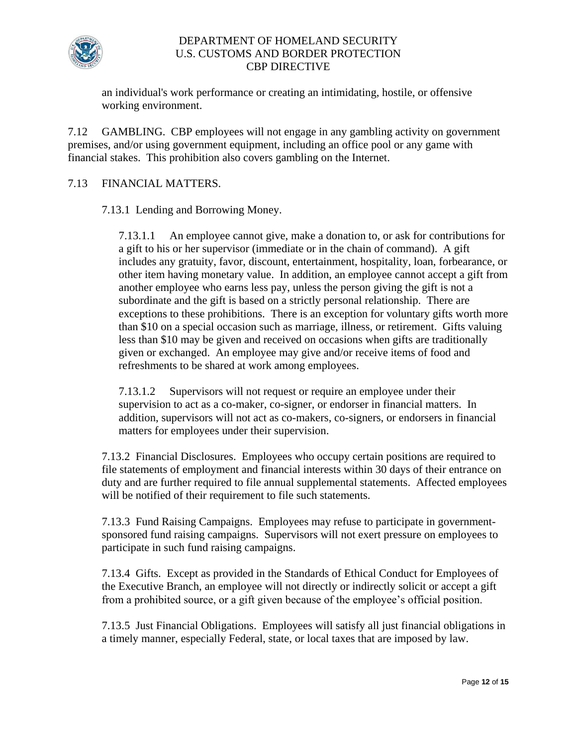

an individual's work performance or creating an intimidating, hostile, or offensive working environment.

7.12 GAMBLING. CBP employees will not engage in any gambling activity on government premises, and/or using government equipment, including an office pool or any game with financial stakes. This prohibition also covers gambling on the Internet.

### 7.13 FINANCIAL MATTERS.

7.13.1 Lending and Borrowing Money.

7.13.1.1 An employee cannot give, make a donation to, or ask for contributions for a gift to his or her supervisor (immediate or in the chain of command). A gift includes any gratuity, favor, discount, entertainment, hospitality, loan, forbearance, or other item having monetary value. In addition, an employee cannot accept a gift from another employee who earns less pay, unless the person giving the gift is not a subordinate and the gift is based on a strictly personal relationship. There are exceptions to these prohibitions. There is an exception for voluntary gifts worth more than \$10 on a special occasion such as marriage, illness, or retirement. Gifts valuing less than \$10 may be given and received on occasions when gifts are traditionally given or exchanged. An employee may give and/or receive items of food and refreshments to be shared at work among employees.

7.13.1.2 Supervisors will not request or require an employee under their supervision to act as a co-maker, co-signer, or endorser in financial matters. In addition, supervisors will not act as co-makers, co-signers, or endorsers in financial matters for employees under their supervision.

7.13.2 Financial Disclosures. Employees who occupy certain positions are required to file statements of employment and financial interests within 30 days of their entrance on duty and are further required to file annual supplemental statements. Affected employees will be notified of their requirement to file such statements.

7.13.3 Fund Raising Campaigns. Employees may refuse to participate in governmentsponsored fund raising campaigns. Supervisors will not exert pressure on employees to participate in such fund raising campaigns.

7.13.4 Gifts. Except as provided in the Standards of Ethical Conduct for Employees of the Executive Branch, an employee will not directly or indirectly solicit or accept a gift from a prohibited source, or a gift given because of the employee's official position.

7.13.5 Just Financial Obligations. Employees will satisfy all just financial obligations in a timely manner, especially Federal, state, or local taxes that are imposed by law.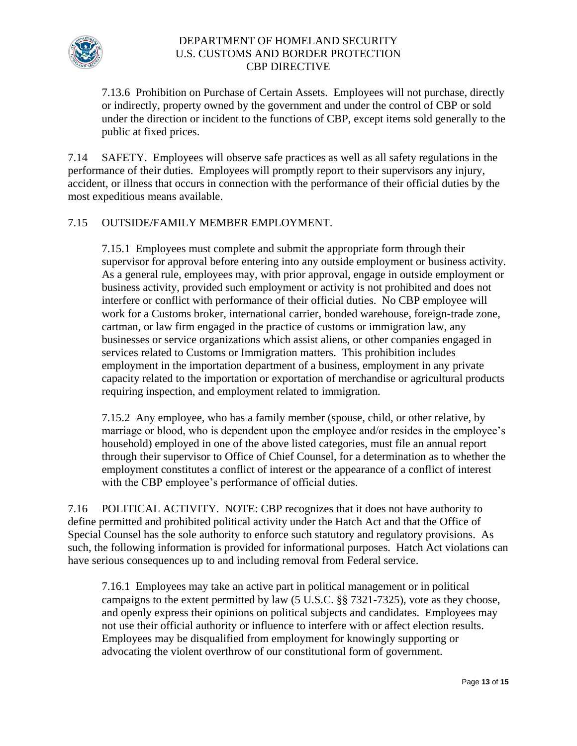

7.13.6 Prohibition on Purchase of Certain Assets. Employees will not purchase, directly or indirectly, property owned by the government and under the control of CBP or sold under the direction or incident to the functions of CBP, except items sold generally to the public at fixed prices.

7.14 SAFETY. Employees will observe safe practices as well as all safety regulations in the performance of their duties. Employees will promptly report to their supervisors any injury, accident, or illness that occurs in connection with the performance of their official duties by the most expeditious means available.

## 7.15 OUTSIDE/FAMILY MEMBER EMPLOYMENT.

7.15.1 Employees must complete and submit the appropriate form through their supervisor for approval before entering into any outside employment or business activity. As a general rule, employees may, with prior approval, engage in outside employment or business activity, provided such employment or activity is not prohibited and does not interfere or conflict with performance of their official duties. No CBP employee will work for a Customs broker, international carrier, bonded warehouse, foreign-trade zone, cartman, or law firm engaged in the practice of customs or immigration law, any businesses or service organizations which assist aliens, or other companies engaged in services related to Customs or Immigration matters. This prohibition includes employment in the importation department of a business, employment in any private capacity related to the importation or exportation of merchandise or agricultural products requiring inspection, and employment related to immigration.

7.15.2 Any employee, who has a family member (spouse, child, or other relative, by marriage or blood, who is dependent upon the employee and/or resides in the employee's household) employed in one of the above listed categories, must file an annual report through their supervisor to Office of Chief Counsel, for a determination as to whether the employment constitutes a conflict of interest or the appearance of a conflict of interest with the CBP employee's performance of official duties.

7.16 POLITICAL ACTIVITY. NOTE: CBP recognizes that it does not have authority to define permitted and prohibited political activity under the Hatch Act and that the Office of Special Counsel has the sole authority to enforce such statutory and regulatory provisions. As such, the following information is provided for informational purposes. Hatch Act violations can have serious consequences up to and including removal from Federal service.

7.16.1 Employees may take an active part in political management or in political campaigns to the extent permitted by law (5 U.S.C. §§ 7321-7325), vote as they choose, and openly express their opinions on political subjects and candidates. Employees may not use their official authority or influence to interfere with or affect election results. Employees may be disqualified from employment for knowingly supporting or advocating the violent overthrow of our constitutional form of government.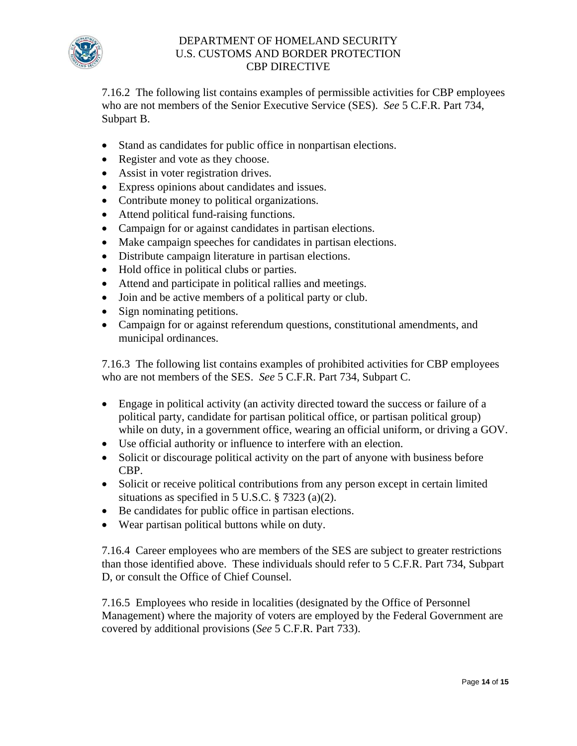

7.16.2 The following list contains examples of permissible activities for CBP employees who are not members of the Senior Executive Service (SES). *See* 5 C.F.R. Part 734, Subpart B.

- Stand as candidates for public office in nonpartisan elections.
- Register and vote as they choose.
- Assist in voter registration drives.
- Express opinions about candidates and issues.
- Contribute money to political organizations.
- Attend political fund-raising functions.
- Campaign for or against candidates in partisan elections.
- Make campaign speeches for candidates in partisan elections.
- Distribute campaign literature in partisan elections.
- Hold office in political clubs or parties.
- Attend and participate in political rallies and meetings.
- Join and be active members of a political party or club.
- Sign nominating petitions.
- Campaign for or against referendum questions, constitutional amendments, and municipal ordinances.

7.16.3 The following list contains examples of prohibited activities for CBP employees who are not members of the SES. *See* 5 C.F.R. Part 734, Subpart C.

- Engage in political activity (an activity directed toward the success or failure of a political party, candidate for partisan political office, or partisan political group) while on duty, in a government office, wearing an official uniform, or driving a GOV.
- Use official authority or influence to interfere with an election.
- Solicit or discourage political activity on the part of anyone with business before CBP.
- Solicit or receive political contributions from any person except in certain limited situations as specified in 5 U.S.C. § 7323 (a)(2).
- Be candidates for public office in partisan elections.
- Wear partisan political buttons while on duty.

7.16.4 Career employees who are members of the SES are subject to greater restrictions than those identified above. These individuals should refer to 5 C.F.R. Part 734, Subpart D, or consult the Office of Chief Counsel.

7.16.5 Employees who reside in localities (designated by the Office of Personnel Management) where the majority of voters are employed by the Federal Government are covered by additional provisions (*See* 5 C.F.R. Part 733).